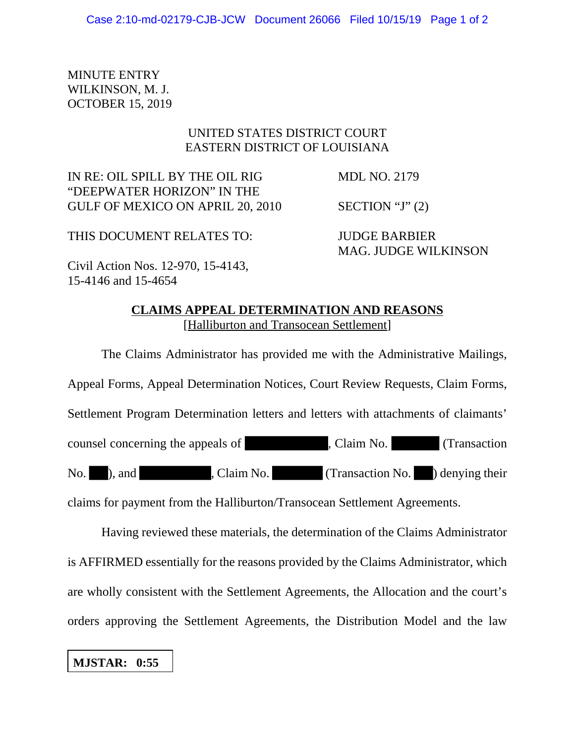MINUTE ENTRY WILKINSON, M. J. OCTOBER 15, 2019

## UNITED STATES DISTRICT COURT EASTERN DISTRICT OF LOUISIANA

IN RE: OIL SPILL BY THE OIL RIG MDL NO. 2179 "DEEPWATER HORIZON" IN THE GULF OF MEXICO ON APRIL 20, 2010 SECTION "J" (2)

THIS DOCUMENT RELATES TO: JUDGE BARBIER

MAG. JUDGE WILKINSON

Civil Action Nos. 12-970, 15-4143, 15-4146 and 15-4654

## **CLAIMS APPEAL DETERMINATION AND REASONS** [Halliburton and Transocean Settlement]

The Claims Administrator has provided me with the Administrative Mailings, Appeal Forms, Appeal Determination Notices, Court Review Requests, Claim Forms, Settlement Program Determination letters and letters with attachments of claimants' counsel concerning the appeals of , Claim No. (Transaction No. and , Claim No. (Transaction No. ) denying their claims for payment from the Halliburton/Transocean Settlement Agreements.

Having reviewed these materials, the determination of the Claims Administrator is AFFIRMED essentially for the reasons provided by the Claims Administrator, which are wholly consistent with the Settlement Agreements, the Allocation and the court's

orders approving the Settlement Agreements, the Distribution Model and the law

**MJSTAR: 0:55**